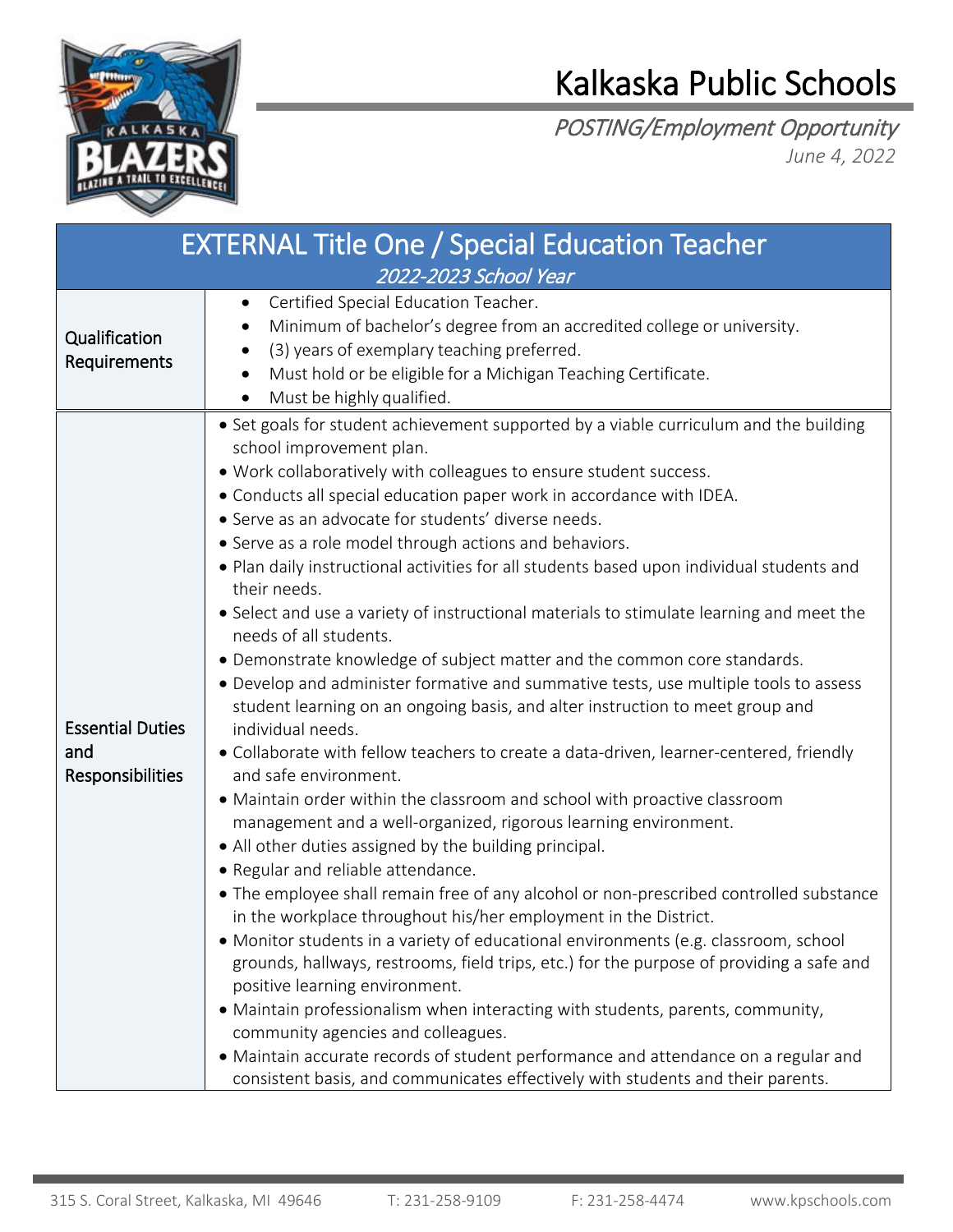

## Kalkaska Public Schools

POSTING/Employment Opportunity *June 4, 2022*

| <b>EXTERNAL Title One / Special Education Teacher</b> |                                                                                                                                                                                                                                                                                                                                                                                                                                                                                                                                                                                                                                                                                                                                                                                                                                                                                                                                                                                                                                                                                                                                                                                                                                                                                                                                                                                                                                                                                                                                                                                                                                                                                                                                                                                                                                                                                                                                                    |  |  |
|-------------------------------------------------------|----------------------------------------------------------------------------------------------------------------------------------------------------------------------------------------------------------------------------------------------------------------------------------------------------------------------------------------------------------------------------------------------------------------------------------------------------------------------------------------------------------------------------------------------------------------------------------------------------------------------------------------------------------------------------------------------------------------------------------------------------------------------------------------------------------------------------------------------------------------------------------------------------------------------------------------------------------------------------------------------------------------------------------------------------------------------------------------------------------------------------------------------------------------------------------------------------------------------------------------------------------------------------------------------------------------------------------------------------------------------------------------------------------------------------------------------------------------------------------------------------------------------------------------------------------------------------------------------------------------------------------------------------------------------------------------------------------------------------------------------------------------------------------------------------------------------------------------------------------------------------------------------------------------------------------------------------|--|--|
| 2022-2023 School Year                                 |                                                                                                                                                                                                                                                                                                                                                                                                                                                                                                                                                                                                                                                                                                                                                                                                                                                                                                                                                                                                                                                                                                                                                                                                                                                                                                                                                                                                                                                                                                                                                                                                                                                                                                                                                                                                                                                                                                                                                    |  |  |
| Qualification<br>Requirements                         | Certified Special Education Teacher.<br>$\bullet$<br>Minimum of bachelor's degree from an accredited college or university.<br>(3) years of exemplary teaching preferred.<br>Must hold or be eligible for a Michigan Teaching Certificate.<br>$\bullet$<br>Must be highly qualified.                                                                                                                                                                                                                                                                                                                                                                                                                                                                                                                                                                                                                                                                                                                                                                                                                                                                                                                                                                                                                                                                                                                                                                                                                                                                                                                                                                                                                                                                                                                                                                                                                                                               |  |  |
| <b>Essential Duties</b><br>and<br>Responsibilities    | • Set goals for student achievement supported by a viable curriculum and the building<br>school improvement plan.<br>. Work collaboratively with colleagues to ensure student success.<br>• Conducts all special education paper work in accordance with IDEA.<br>• Serve as an advocate for students' diverse needs.<br>• Serve as a role model through actions and behaviors.<br>. Plan daily instructional activities for all students based upon individual students and<br>their needs.<br>• Select and use a variety of instructional materials to stimulate learning and meet the<br>needs of all students.<br>• Demonstrate knowledge of subject matter and the common core standards.<br>• Develop and administer formative and summative tests, use multiple tools to assess<br>student learning on an ongoing basis, and alter instruction to meet group and<br>individual needs.<br>• Collaborate with fellow teachers to create a data-driven, learner-centered, friendly<br>and safe environment.<br>• Maintain order within the classroom and school with proactive classroom<br>management and a well-organized, rigorous learning environment.<br>• All other duties assigned by the building principal.<br>• Regular and reliable attendance.<br>• The employee shall remain free of any alcohol or non-prescribed controlled substance<br>in the workplace throughout his/her employment in the District.<br>• Monitor students in a variety of educational environments (e.g. classroom, school<br>grounds, hallways, restrooms, field trips, etc.) for the purpose of providing a safe and<br>positive learning environment.<br>• Maintain professionalism when interacting with students, parents, community,<br>community agencies and colleagues.<br>• Maintain accurate records of student performance and attendance on a regular and<br>consistent basis, and communicates effectively with students and their parents. |  |  |